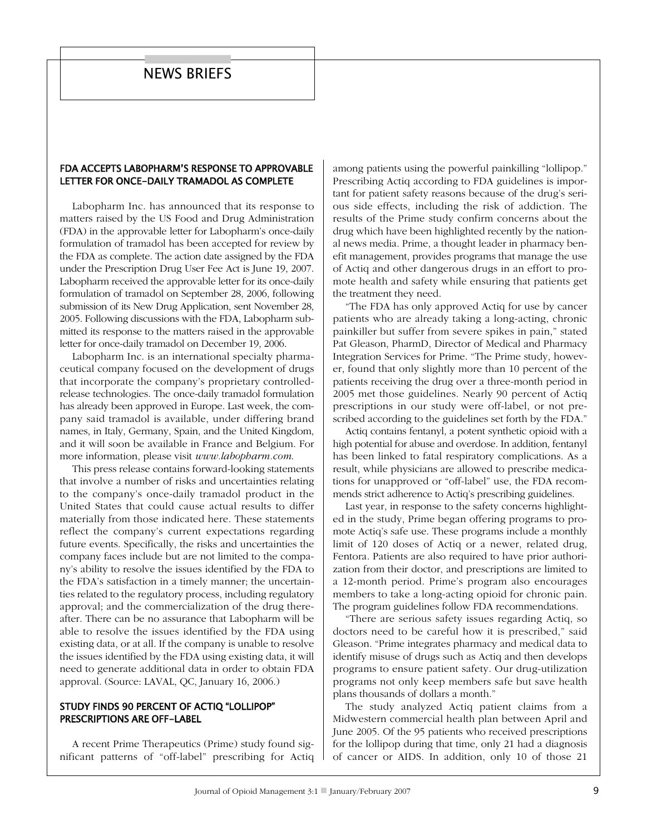# **NEWS BRIEFS**

## FDA ACCEPTS LABOPHARM'S RESPONSE TO APPROVABLE LETTER FOR ONCE-DAILY TRAMADOL AS COMPLETE

Labopharm Inc. has announced that its response to matters raised by the US Food and Drug Administration (FDA) in the approvable letter for Labopharm's once-daily formulation of tramadol has been accepted for review by the FDA as complete. The action date assigned by the FDA under the Prescription Drug User Fee Act is June 19, 2007. Labopharm received the approvable letter for its once-daily formulation of tramadol on September 28, 2006, following submission of its New Drug Application, sent November 28, 2005. Following discussions with the FDA, Labopharm submitted its response to the matters raised in the approvable letter for once-daily tramadol on December 19, 2006.

Labopharm Inc. is an international specialty pharmaceutical company focused on the development of drugs that incorporate the company's proprietary controlledrelease technologies. The once-daily tramadol formulation has already been approved in Europe. Last week, the company said tramadol is available, under differing brand names, in Italy, Germany, Spain, and the United Kingdom, and it will soon be available in France and Belgium. For more information, please visit www.labopharm.com.

This press release contains forward-looking statements that involve a number of risks and uncertainties relating to the company's once-daily tramadol product in the United States that could cause actual results to differ materially from those indicated here. These statements reflect the company's current expectations regarding future events. Specifically, the risks and uncertainties the company faces include but are not limited to the company's ability to resolve the issues identified by the FDA to the FDA's satisfaction in a timely manner; the uncertainties related to the regulatory process, including regulatory approval; and the commercialization of the drug thereafter. There can be no assurance that Labopharm will be able to resolve the issues identified by the FDA using existing data, or at all. If the company is unable to resolve the issues identified by the FDA using existing data, it will need to generate additional data in order to obtain FDA approval. (Source: LAVAL, QC, January 16, 2006.)

### STUDY FINDS 90 PERCENT OF ACTIQ "LOLLIPOP" PRESCRIPTIONS ARE OFF-LABEL

A recent Prime Therapeutics (Prime) study found significant patterns of "off-label" prescribing for Actiq among patients using the powerful painkilling "lollipop." Prescribing Actiq according to FDA guidelines is important for patient safety reasons because of the drug's serious side effects, including the risk of addiction. The results of the Prime study confirm concerns about the drug which have been highlighted recently by the national news media. Prime, a thought leader in pharmacy benefit management, provides programs that manage the use of Actiq and other dangerous drugs in an effort to promote health and safety while ensuring that patients get the treatment they need.

"The FDA has only approved Actiq for use by cancer patients who are already taking a long-acting, chronic painkiller but suffer from severe spikes in pain," stated Pat Gleason, PharmD, Director of Medical and Pharmacy Integration Services for Prime. "The Prime study, however, found that only slightly more than 10 percent of the patients receiving the drug over a three-month period in 2005 met those guidelines. Nearly 90 percent of Actiq prescriptions in our study were off-label, or not prescribed according to the guidelines set forth by the FDA."

Actiq contains fentanyl, a potent synthetic opioid with a high potential for abuse and overdose. In addition, fentanyl has been linked to fatal respiratory complications. As a result, while physicians are allowed to prescribe medications for unapproved or "off-label" use, the FDA recommends strict adherence to Actiq's prescribing guidelines.

Last year, in response to the safety concerns highlighted in the study, Prime began offering programs to promote Actiq's safe use. These programs include a monthly limit of 120 doses of Actiq or a newer, related drug, Fentora. Patients are also required to have prior authorization from their doctor, and prescriptions are limited to a 12-month period. Prime's program also encourages members to take a long-acting opioid for chronic pain. The program guidelines follow FDA recommendations.

"There are serious safety issues regarding Actiq, so doctors need to be careful how it is prescribed," said Gleason. "Prime integrates pharmacy and medical data to identify misuse of drugs such as Actiq and then develops programs to ensure patient safety. Our drug-utilization programs not only keep members safe but save health plans thousands of dollars a month."

The study analyzed Actiq patient claims from a Midwestern commercial health plan between April and June 2005. Of the 95 patients who received prescriptions for the lollipop during that time, only 21 had a diagnosis of cancer or AIDS. In addition, only 10 of those 21